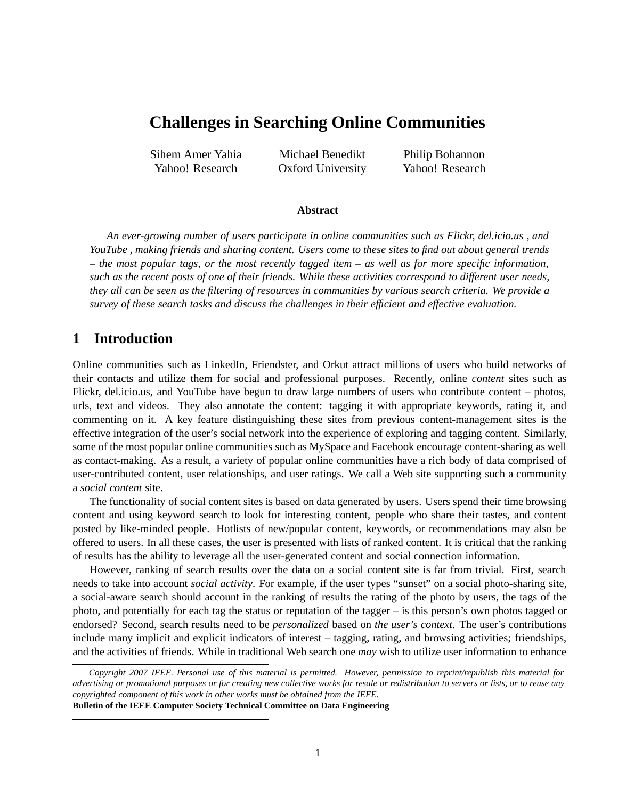# **Challenges in Searching Online Communities**

Sihem Amer Yahia Yahoo! Research

Michael Benedikt Oxford University Philip Bohannon Yahoo! Research

#### **Abstract**

*An ever-growing number of users participate in online communities such as Flickr, del.icio.us , and YouTube , making friends and sharing content. Users come to these sites to find out about general trends – the most popular tags, or the most recently tagged item – as well as for more specific information, such as the recent posts of one of their friends. While these activities correspond to different user needs, they all can be seen as the filtering of resources in communities by various search criteria. We provide a survey of these search tasks and discuss the challenges in their efficient and effective evaluation.*

## **1 Introduction**

Online communities such as LinkedIn, Friendster, and Orkut attract millions of users who build networks of their contacts and utilize them for social and professional purposes. Recently, online *content* sites such as Flickr, del.icio.us, and YouTube have begun to draw large numbers of users who contribute content – photos, urls, text and videos. They also annotate the content: tagging it with appropriate keywords, rating it, and commenting on it. A key feature distinguishing these sites from previous content-management sites is the effective integration of the user's social network into the experience of exploring and tagging content. Similarly, some of the most popular online communities such as MySpace and Facebook encourage content-sharing as well as contact-making. As a result, a variety of popular online communities have a rich body of data comprised of user-contributed content, user relationships, and user ratings. We call a Web site supporting such a community a *social content* site.

The functionality of social content sites is based on data generated by users. Users spend their time browsing content and using keyword search to look for interesting content, people who share their tastes, and content posted by like-minded people. Hotlists of new/popular content, keywords, or recommendations may also be offered to users. In all these cases, the user is presented with lists of ranked content. It is critical that the ranking of results has the ability to leverage all the user-generated content and social connection information.

However, ranking of search results over the data on a social content site is far from trivial. First, search needs to take into account *social activity*. For example, if the user types "sunset" on a social photo-sharing site, a social-aware search should account in the ranking of results the rating of the photo by users, the tags of the photo, and potentially for each tag the status or reputation of the tagger – is this person's own photos tagged or endorsed? Second, search results need to be *personalized* based on *the user's context*. The user's contributions include many implicit and explicit indicators of interest – tagging, rating, and browsing activities; friendships, and the activities of friends. While in traditional Web search one *may* wish to utilize user information to enhance

*Copyright 2007 IEEE. Personal use of this material is permitted. However, permission to reprint/republish this material for advertising or promotional purposes or for creating new collective works for resale or redistribution to servers or lists, or to reuse any copyrighted component of this work in other works must be obtained from the IEEE.* **Bulletin of the IEEE Computer Society Technical Committee on Data Engineering**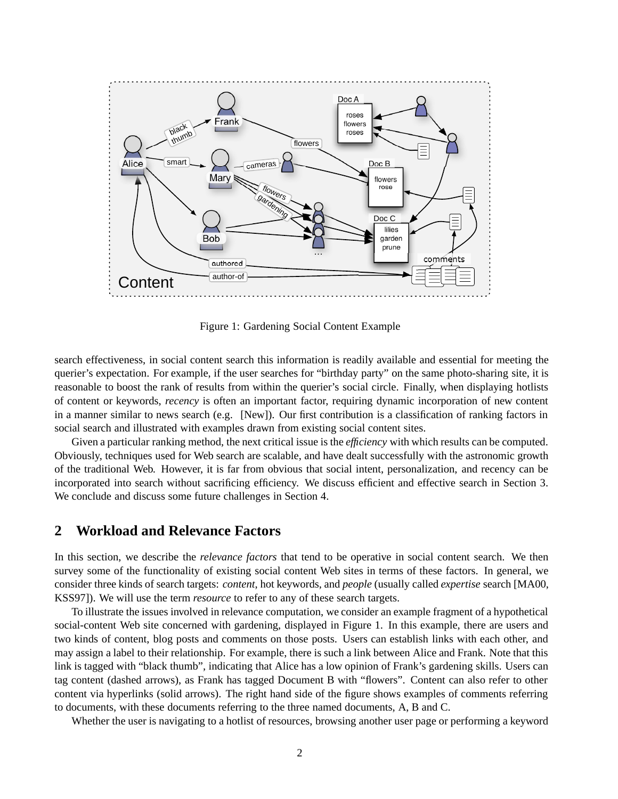

Figure 1: Gardening Social Content Example

search effectiveness, in social content search this information is readily available and essential for meeting the querier's expectation. For example, if the user searches for "birthday party" on the same photo-sharing site, it is reasonable to boost the rank of results from within the querier's social circle. Finally, when displaying hotlists of content or keywords, *recency* is often an important factor, requiring dynamic incorporation of new content in a manner similar to news search (e.g. [New]). Our first contribution is a classification of ranking factors in social search and illustrated with examples drawn from existing social content sites.

Given a particular ranking method, the next critical issue is the *efficiency* with which results can be computed. Obviously, techniques used for Web search are scalable, and have dealt successfully with the astronomic growth of the traditional Web. However, it is far from obvious that social intent, personalization, and recency can be incorporated into search without sacrificing efficiency. We discuss efficient and effective search in Section 3. We conclude and discuss some future challenges in Section 4.

## **2 Workload and Relevance Factors**

In this section, we describe the *relevance factors* that tend to be operative in social content search. We then survey some of the functionality of existing social content Web sites in terms of these factors. In general, we consider three kinds of search targets: *content*, hot keywords, and *people* (usually called *expertise* search [MA00, KSS97]). We will use the term *resource* to refer to any of these search targets.

To illustrate the issues involved in relevance computation, we consider an example fragment of a hypothetical social-content Web site concerned with gardening, displayed in Figure 1. In this example, there are users and two kinds of content, blog posts and comments on those posts. Users can establish links with each other, and may assign a label to their relationship. For example, there is such a link between Alice and Frank. Note that this link is tagged with "black thumb", indicating that Alice has a low opinion of Frank's gardening skills. Users can tag content (dashed arrows), as Frank has tagged Document B with "flowers". Content can also refer to other content via hyperlinks (solid arrows). The right hand side of the figure shows examples of comments referring to documents, with these documents referring to the three named documents, A, B and C.

Whether the user is navigating to a hotlist of resources, browsing another user page or performing a keyword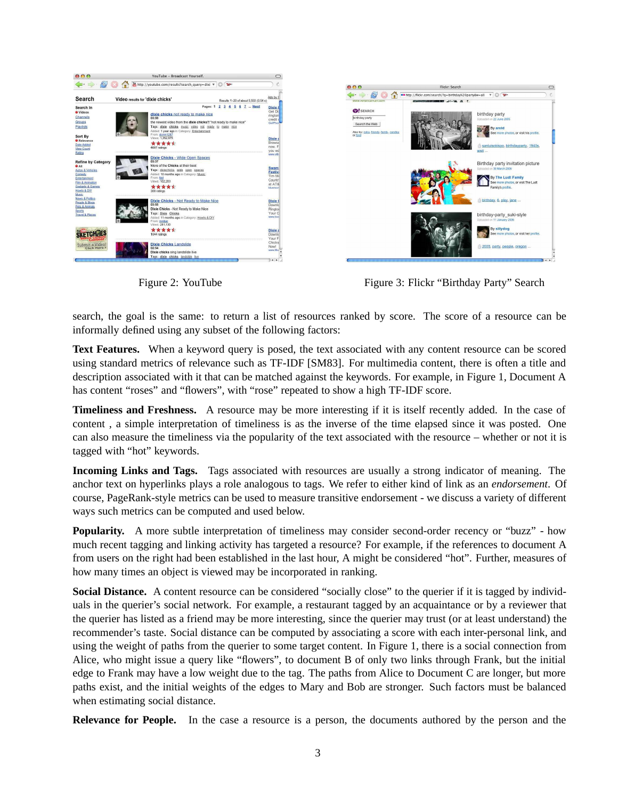

Figure 2: YouTube Figure 3: Flickr "Birthday Party" Search

search, the goal is the same: to return a list of resources ranked by score. The score of a resource can be informally defined using any subset of the following factors:

Text Features. When a keyword query is posed, the text associated with any content resource can be scored using standard metrics of relevance such as TF-IDF [SM83]. For multimedia content, there is often a title and description associated with it that can be matched against the keywords. For example, in Figure 1, Document A has content "roses" and "flowers", with "rose" repeated to show a high TF-IDF score.

**Timeliness and Freshness.** A resource may be more interesting if it is itself recently added. In the case of content , a simple interpretation of timeliness is as the inverse of the time elapsed since it was posted. One can also measure the timeliness via the popularity of the text associated with the resource – whether or not it is tagged with "hot" keywords.

**Incoming Links and Tags.** Tags associated with resources are usually a strong indicator of meaning. The anchor text on hyperlinks plays a role analogous to tags. We refer to either kind of link as an *endorsement*. Of course, PageRank-style metrics can be used to measure transitive endorsement - we discuss a variety of different ways such metrics can be computed and used below.

**Popularity.** A more subtle interpretation of timeliness may consider second-order recency or "buzz" - how much recent tagging and linking activity has targeted a resource? For example, if the references to document A from users on the right had been established in the last hour, A might be considered "hot". Further, measures of how many times an object is viewed may be incorporated in ranking.

**Social Distance.** A content resource can be considered "socially close" to the querier if it is tagged by individuals in the querier's social network. For example, a restaurant tagged by an acquaintance or by a reviewer that the querier has listed as a friend may be more interesting, since the querier may trust (or at least understand) the recommender's taste. Social distance can be computed by associating a score with each inter-personal link, and using the weight of paths from the querier to some target content. In Figure 1, there is a social connection from Alice, who might issue a query like "flowers", to document B of only two links through Frank, but the initial edge to Frank may have a low weight due to the tag. The paths from Alice to Document C are longer, but more paths exist, and the initial weights of the edges to Mary and Bob are stronger. Such factors must be balanced when estimating social distance.

**Relevance for People.** In the case a resource is a person, the documents authored by the person and the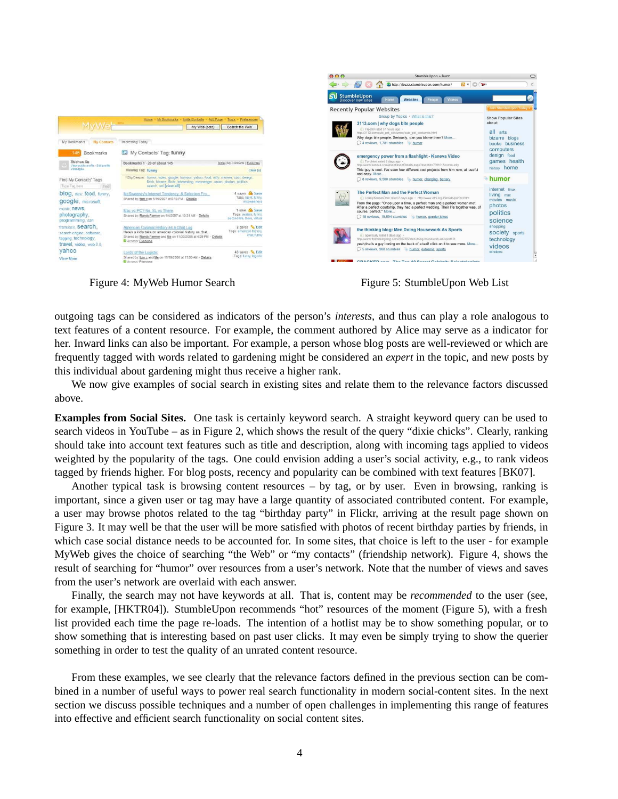

Figure 4: MyWeb Humor Search Figure 5: StumbleUpon Web List

outgoing tags can be considered as indicators of the person's *interests*, and thus can play a role analogous to text features of a content resource. For example, the comment authored by Alice may serve as a indicator for her. Inward links can also be important. For example, a person whose blog posts are well-reviewed or which are frequently tagged with words related to gardening might be considered an *expert* in the topic, and new posts by this individual about gardening might thus receive a higher rank.

We now give examples of social search in existing sites and relate them to the relevance factors discussed above.

**Examples from Social Sites.** One task is certainly keyword search. A straight keyword query can be used to search videos in YouTube – as in Figure 2, which shows the result of the query "dixie chicks". Clearly, ranking should take into account text features such as title and description, along with incoming tags applied to videos weighted by the popularity of the tags. One could envision adding a user's social activity, e.g., to rank videos tagged by friends higher. For blog posts, recency and popularity can be combined with text features [BK07].

Another typical task is browsing content resources – by tag, or by user. Even in browsing, ranking is important, since a given user or tag may have a large quantity of associated contributed content. For example, a user may browse photos related to the tag "birthday party" in Flickr, arriving at the result page shown on Figure 3. It may well be that the user will be more satisfied with photos of recent birthday parties by friends, in which case social distance needs to be accounted for. In some sites, that choice is left to the user - for example MyWeb gives the choice of searching "the Web" or "my contacts" (friendship network). Figure 4, shows the result of searching for "humor" over resources from a user's network. Note that the number of views and saves from the user's network are overlaid with each answer.

Finally, the search may not have keywords at all. That is, content may be *recommended* to the user (see, for example, [HKTR04]). StumbleUpon recommends "hot" resources of the moment (Figure 5), with a fresh list provided each time the page re-loads. The intention of a hotlist may be to show something popular, or to show something that is interesting based on past user clicks. It may even be simply trying to show the querier something in order to test the quality of an unrated content resource.

From these examples, we see clearly that the relevance factors defined in the previous section can be combined in a number of useful ways to power real search functionality in modern social-content sites. In the next section we discuss possible techniques and a number of open challenges in implementing this range of features into effective and efficient search functionality on social content sites.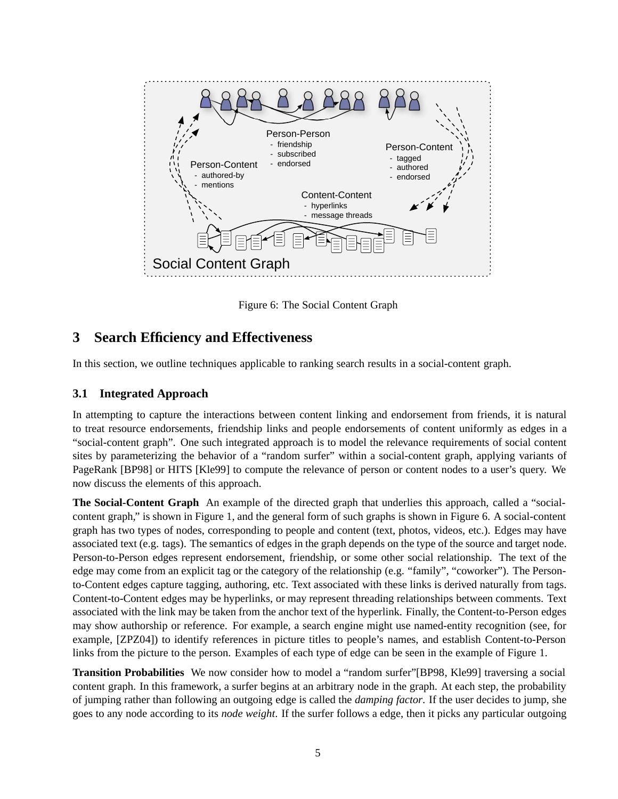

Figure 6: The Social Content Graph

# **3 Search Efficiency and Effectiveness**

In this section, we outline techniques applicable to ranking search results in a social-content graph.

## **3.1 Integrated Approach**

In attempting to capture the interactions between content linking and endorsement from friends, it is natural to treat resource endorsements, friendship links and people endorsements of content uniformly as edges in a "social-content graph". One such integrated approach is to model the relevance requirements of social content sites by parameterizing the behavior of a "random surfer" within a social-content graph, applying variants of PageRank [BP98] or HITS [Kle99] to compute the relevance of person or content nodes to a user's query. We now discuss the elements of this approach.

**The Social-Content Graph** An example of the directed graph that underlies this approach, called a "socialcontent graph," is shown in Figure 1, and the general form of such graphs is shown in Figure 6. A social-content graph has two types of nodes, corresponding to people and content (text, photos, videos, etc.). Edges may have associated text (e.g. tags). The semantics of edges in the graph depends on the type of the source and target node. Person-to-Person edges represent endorsement, friendship, or some other social relationship. The text of the edge may come from an explicit tag or the category of the relationship (e.g. "family", "coworker"). The Personto-Content edges capture tagging, authoring, etc. Text associated with these links is derived naturally from tags. Content-to-Content edges may be hyperlinks, or may represent threading relationships between comments. Text associated with the link may be taken from the anchor text of the hyperlink. Finally, the Content-to-Person edges may show authorship or reference. For example, a search engine might use named-entity recognition (see, for example, [ZPZ04]) to identify references in picture titles to people's names, and establish Content-to-Person links from the picture to the person. Examples of each type of edge can be seen in the example of Figure 1.

**Transition Probabilities** We now consider how to model a "random surfer"[BP98, Kle99] traversing a social content graph. In this framework, a surfer begins at an arbitrary node in the graph. At each step, the probability of jumping rather than following an outgoing edge is called the *damping factor*. If the user decides to jump, she goes to any node according to its *node weight*. If the surfer follows a edge, then it picks any particular outgoing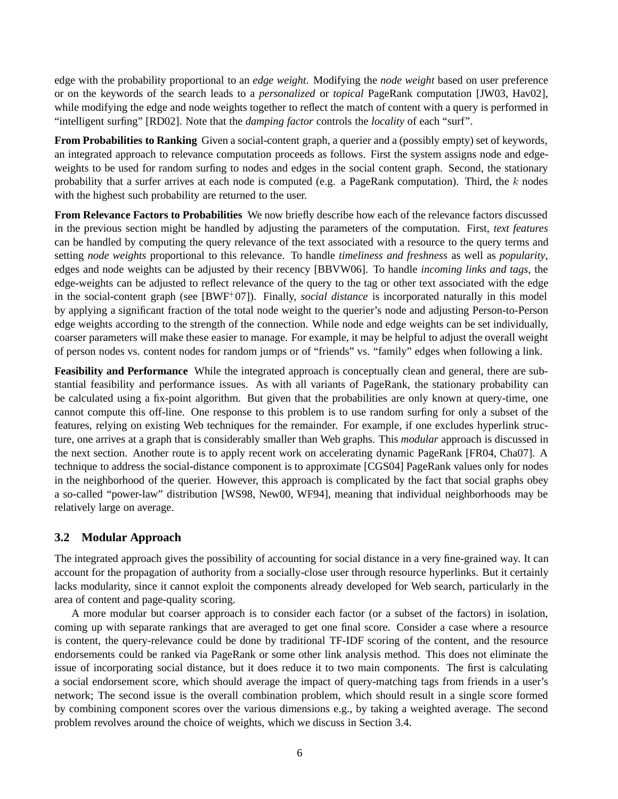edge with the probability proportional to an *edge weight*. Modifying the *node weight* based on user preference or on the keywords of the search leads to a *personalized* or *topical* PageRank computation [JW03, Hav02], while modifying the edge and node weights together to reflect the match of content with a query is performed in "intelligent surfing" [RD02]. Note that the *damping factor* controls the *locality* of each "surf".

**From Probabilities to Ranking** Given a social-content graph, a querier and a (possibly empty) set of keywords, an integrated approach to relevance computation proceeds as follows. First the system assigns node and edgeweights to be used for random surfing to nodes and edges in the social content graph. Second, the stationary probability that a surfer arrives at each node is computed (e.g. a PageRank computation). Third, the *k* nodes with the highest such probability are returned to the user.

**From Relevance Factors to Probabilities** We now briefly describe how each of the relevance factors discussed in the previous section might be handled by adjusting the parameters of the computation. First, *text features* can be handled by computing the query relevance of the text associated with a resource to the query terms and setting *node weights* proportional to this relevance. To handle *timeliness and freshness* as well as *popularity*, edges and node weights can be adjusted by their recency [BBVW06]. To handle *incoming links and tags*, the edge-weights can be adjusted to reflect relevance of the query to the tag or other text associated with the edge in the social-content graph (see [BWF+07]). Finally, *social distance* is incorporated naturally in this model by applying a significant fraction of the total node weight to the querier's node and adjusting Person-to-Person edge weights according to the strength of the connection. While node and edge weights can be set individually, coarser parameters will make these easier to manage. For example, it may be helpful to adjust the overall weight of person nodes vs. content nodes for random jumps or of "friends" vs. "family" edges when following a link.

**Feasibility and Performance** While the integrated approach is conceptually clean and general, there are substantial feasibility and performance issues. As with all variants of PageRank, the stationary probability can be calculated using a fix-point algorithm. But given that the probabilities are only known at query-time, one cannot compute this off-line. One response to this problem is to use random surfing for only a subset of the features, relying on existing Web techniques for the remainder. For example, if one excludes hyperlink structure, one arrives at a graph that is considerably smaller than Web graphs. This *modular* approach is discussed in the next section. Another route is to apply recent work on accelerating dynamic PageRank [FR04, Cha07]. A technique to address the social-distance component is to approximate [CGS04] PageRank values only for nodes in the neighborhood of the querier. However, this approach is complicated by the fact that social graphs obey a so-called "power-law" distribution [WS98, New00, WF94], meaning that individual neighborhoods may be relatively large on average.

### **3.2 Modular Approach**

The integrated approach gives the possibility of accounting for social distance in a very fine-grained way. It can account for the propagation of authority from a socially-close user through resource hyperlinks. But it certainly lacks modularity, since it cannot exploit the components already developed for Web search, particularly in the area of content and page-quality scoring.

A more modular but coarser approach is to consider each factor (or a subset of the factors) in isolation, coming up with separate rankings that are averaged to get one final score. Consider a case where a resource is content, the query-relevance could be done by traditional TF-IDF scoring of the content, and the resource endorsements could be ranked via PageRank or some other link analysis method. This does not eliminate the issue of incorporating social distance, but it does reduce it to two main components. The first is calculating a social endorsement score, which should average the impact of query-matching tags from friends in a user's network; The second issue is the overall combination problem, which should result in a single score formed by combining component scores over the various dimensions e.g., by taking a weighted average. The second problem revolves around the choice of weights, which we discuss in Section 3.4.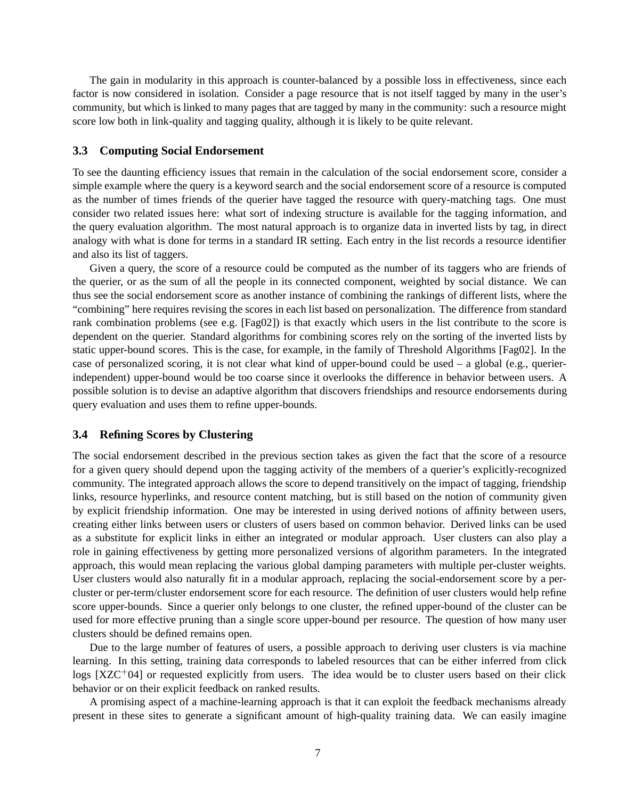The gain in modularity in this approach is counter-balanced by a possible loss in effectiveness, since each factor is now considered in isolation. Consider a page resource that is not itself tagged by many in the user's community, but which is linked to many pages that are tagged by many in the community: such a resource might score low both in link-quality and tagging quality, although it is likely to be quite relevant.

#### **3.3 Computing Social Endorsement**

To see the daunting efficiency issues that remain in the calculation of the social endorsement score, consider a simple example where the query is a keyword search and the social endorsement score of a resource is computed as the number of times friends of the querier have tagged the resource with query-matching tags. One must consider two related issues here: what sort of indexing structure is available for the tagging information, and the query evaluation algorithm. The most natural approach is to organize data in inverted lists by tag, in direct analogy with what is done for terms in a standard IR setting. Each entry in the list records a resource identifier and also its list of taggers.

Given a query, the score of a resource could be computed as the number of its taggers who are friends of the querier, or as the sum of all the people in its connected component, weighted by social distance. We can thus see the social endorsement score as another instance of combining the rankings of different lists, where the "combining" here requires revising the scores in each list based on personalization. The difference from standard rank combination problems (see e.g. [Fag02]) is that exactly which users in the list contribute to the score is dependent on the querier. Standard algorithms for combining scores rely on the sorting of the inverted lists by static upper-bound scores. This is the case, for example, in the family of Threshold Algorithms [Fag02]. In the case of personalized scoring, it is not clear what kind of upper-bound could be used – a global (e.g., querierindependent) upper-bound would be too coarse since it overlooks the difference in behavior between users. A possible solution is to devise an adaptive algorithm that discovers friendships and resource endorsements during query evaluation and uses them to refine upper-bounds.

### **3.4 Refining Scores by Clustering**

The social endorsement described in the previous section takes as given the fact that the score of a resource for a given query should depend upon the tagging activity of the members of a querier's explicitly-recognized community. The integrated approach allows the score to depend transitively on the impact of tagging, friendship links, resource hyperlinks, and resource content matching, but is still based on the notion of community given by explicit friendship information. One may be interested in using derived notions of affinity between users, creating either links between users or clusters of users based on common behavior. Derived links can be used as a substitute for explicit links in either an integrated or modular approach. User clusters can also play a role in gaining effectiveness by getting more personalized versions of algorithm parameters. In the integrated approach, this would mean replacing the various global damping parameters with multiple per-cluster weights. User clusters would also naturally fit in a modular approach, replacing the social-endorsement score by a percluster or per-term/cluster endorsement score for each resource. The definition of user clusters would help refine score upper-bounds. Since a querier only belongs to one cluster, the refined upper-bound of the cluster can be used for more effective pruning than a single score upper-bound per resource. The question of how many user clusters should be defined remains open.

Due to the large number of features of users, a possible approach to deriving user clusters is via machine learning. In this setting, training data corresponds to labeled resources that can be either inferred from click  $\log s$  [XZC<sup>+</sup>04] or requested explicitly from users. The idea would be to cluster users based on their click behavior or on their explicit feedback on ranked results.

A promising aspect of a machine-learning approach is that it can exploit the feedback mechanisms already present in these sites to generate a significant amount of high-quality training data. We can easily imagine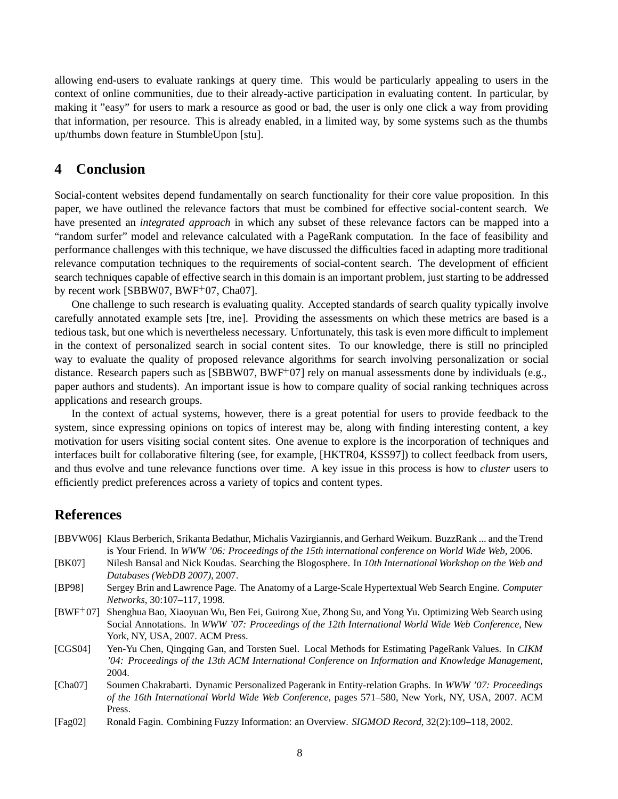allowing end-users to evaluate rankings at query time. This would be particularly appealing to users in the context of online communities, due to their already-active participation in evaluating content. In particular, by making it "easy" for users to mark a resource as good or bad, the user is only one click a way from providing that information, per resource. This is already enabled, in a limited way, by some systems such as the thumbs up/thumbs down feature in StumbleUpon [stu].

## **4 Conclusion**

Social-content websites depend fundamentally on search functionality for their core value proposition. In this paper, we have outlined the relevance factors that must be combined for effective social-content search. We have presented an *integrated approach* in which any subset of these relevance factors can be mapped into a "random surfer" model and relevance calculated with a PageRank computation. In the face of feasibility and performance challenges with this technique, we have discussed the difficulties faced in adapting more traditional relevance computation techniques to the requirements of social-content search. The development of efficient search techniques capable of effective search in this domain is an important problem, just starting to be addressed by recent work [SBBW07, BWF<sup>+</sup>07, Cha07].

One challenge to such research is evaluating quality. Accepted standards of search quality typically involve carefully annotated example sets [tre, ine]. Providing the assessments on which these metrics are based is a tedious task, but one which is nevertheless necessary. Unfortunately, this task is even more difficult to implement in the context of personalized search in social content sites. To our knowledge, there is still no principled way to evaluate the quality of proposed relevance algorithms for search involving personalization or social distance. Research papers such as [SBBW07, BWF+07] rely on manual assessments done by individuals (e.g., paper authors and students). An important issue is how to compare quality of social ranking techniques across applications and research groups.

In the context of actual systems, however, there is a great potential for users to provide feedback to the system, since expressing opinions on topics of interest may be, along with finding interesting content, a key motivation for users visiting social content sites. One avenue to explore is the incorporation of techniques and interfaces built for collaborative filtering (see, for example, [HKTR04, KSS97]) to collect feedback from users, and thus evolve and tune relevance functions over time. A key issue in this process is how to *cluster* users to efficiently predict preferences across a variety of topics and content types.

## **References**

- [BBVW06] Klaus Berberich, Srikanta Bedathur, Michalis Vazirgiannis, and Gerhard Weikum. BuzzRank ... and the Trend is Your Friend. In *WWW '06: Proceedings of the 15th international conference on World Wide Web*, 2006.
- [BK07] Nilesh Bansal and Nick Koudas. Searching the Blogosphere. In *10th International Workshop on the Web and Databases (WebDB 2007)*, 2007.
- [BP98] Sergey Brin and Lawrence Page. The Anatomy of a Large-Scale Hypertextual Web Search Engine. *Computer Networks*, 30:107–117, 1998.
- [BWF<sup>+</sup>07] Shenghua Bao, Xiaoyuan Wu, Ben Fei, Guirong Xue, Zhong Su, and Yong Yu. Optimizing Web Search using Social Annotations. In *WWW '07: Proceedings of the 12th International World Wide Web Conference*, New York, NY, USA, 2007. ACM Press.
- [CGS04] Yen-Yu Chen, Qingqing Gan, and Torsten Suel. Local Methods for Estimating PageRank Values. In *CIKM '04: Proceedings of the 13th ACM International Conference on Information and Knowledge Management*, 2004.
- [Cha07] Soumen Chakrabarti. Dynamic Personalized Pagerank in Entity-relation Graphs. In *WWW '07: Proceedings of the 16th International World Wide Web Conference*, pages 571–580, New York, NY, USA, 2007. ACM Press.
- [Fag02] Ronald Fagin. Combining Fuzzy Information: an Overview. *SIGMOD Record*, 32(2):109–118, 2002.